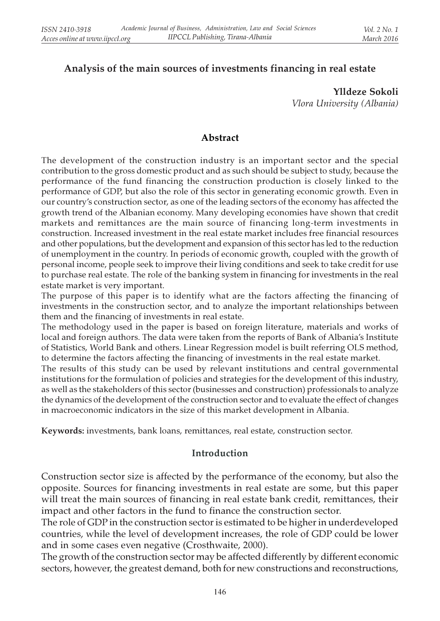### Analysis of the main sources of investments financing in real estate

Ylldeze Sokoli Vlora University (Albania)

#### Abstract

The development of the construction industry is an important sector and the special contribution to the gross domestic product and as such should be subject to study, because the performance of the fund financing the construction production is closely linked to the performance of GDP, but also the role of this sector in generating economic growth. Even in our country's construction sector, as one of the leading sectors of the economy has affected the growth trend of the Albanian economy. Many developing economies have shown that credit markets and remittances are the main source of financing long-term investments in construction. Increased investment in the real estate market includes free financial resources and other populations, but the development and expansion of this sector has led to the reduction of unemployment in the country. In periods of economic growth, coupled with the growth of personal income, people seek to improve their living conditions and seek to take credit for use to purchase real estate. The role of the banking system in financing for investments in the real estate market is very important.

The purpose of this paper is to identify what are the factors affecting the financing of investments in the construction sector, and to analyze the important relationships between them and the financing of investments in real estate.

The methodology used in the paper is based on foreign literature, materials and works of local and foreign authors. The data were taken from the reports of Bank of Albania's Institute of Statistics, World Bank and others. Linear Regression model is built referring OLS method, to determine the factors affecting the financing of investments in the real estate market.

The results of this study can be used by relevant institutions and central governmental institutions for the formulation of policies and strategies for the development of this industry, as well as the stakeholders of this sector (businesses and construction) professionals to analyze the dynamics of the development of the construction sector and to evaluate the effect of changes in macroeconomic indicators in the size of this market development in Albania.

Keywords: investments, bank loans, remittances, real estate, construction sector.

#### Introduction

Construction sector size is affected by the performance of the economy, but also the opposite. Sources for financing investments in real estate are some, but this paper will treat the main sources of financing in real estate bank credit, remittances, their impact and other factors in the fund to finance the construction sector.

The role of GDP in the construction sector is estimated to be higher in underdeveloped countries, while the level of development increases, the role of GDP could be lower and in some cases even negative (Crosthwaite, 2000).

The growth of the construction sector may be affected differently by different economic sectors, however, the greatest demand, both for new constructions and reconstructions,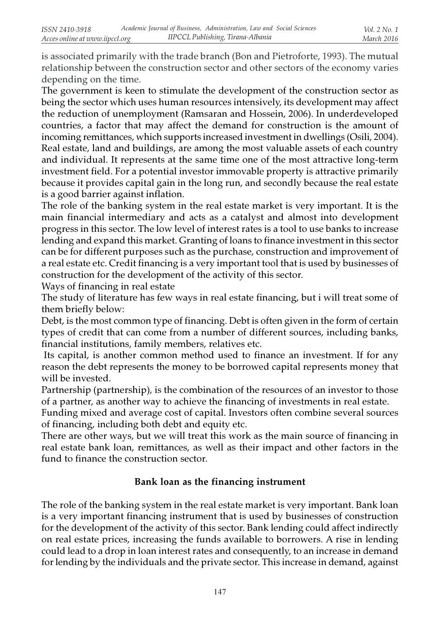is associated primarily with the trade branch (Bon and Pietroforte, 1993). The mutual relationship between the construction sector and other sectors of the economy varies depending on the time.

The government is keen to stimulate the development of the construction sector as being the sector which uses human resources intensively, its development may affect the reduction of unemployment (Ramsaran and Hossein, 2006). In underdeveloped countries, a factor that may affect the demand for construction is the amount of incoming remittances, which supports increased investment in dwellings (Osili, 2004). Real estate, land and buildings, are among the most valuable assets of each country and individual. It represents at the same time one of the most attractive long-term investment field. For a potential investor immovable property is attractive primarily because it provides capital gain in the long run, and secondly because the real estate is a good barrier against inflation.

The role of the banking system in the real estate market is very important. It is the main financial intermediary and acts as a catalyst and almost into development progress in this sector. The low level of interest rates is a tool to use banks to increase lending and expand this market. Granting of loans to finance investment in this sector can be for different purposes such as the purchase, construction and improvement of a real estate etc. Credit financing is a very important tool that is used by businesses of construction for the development of the activity of this sector.

Ways of financing in real estate

The study of literature has few ways in real estate financing, but i will treat some of them briefly below:

Debt, is the most common type of financing. Debt is often given in the form of certain types of credit that can come from a number of different sources, including banks, financial institutions, family members, relatives etc.

 Its capital, is another common method used to finance an investment. If for any reason the debt represents the money to be borrowed capital represents money that will be invested.

Partnership (partnership), is the combination of the resources of an investor to those of a partner, as another way to achieve the financing of investments in real estate.

Funding mixed and average cost of capital. Investors often combine several sources of financing, including both debt and equity etc.

There are other ways, but we will treat this work as the main source of financing in real estate bank loan, remittances, as well as their impact and other factors in the fund to finance the construction sector.

### Bank loan as the financing instrument

The role of the banking system in the real estate market is very important. Bank loan is a very important financing instrument that is used by businesses of construction for the development of the activity of this sector. Bank lending could affect indirectly on real estate prices, increasing the funds available to borrowers. A rise in lending could lead to a drop in loan interest rates and consequently, to an increase in demand for lending by the individuals and the private sector. This increase in demand, against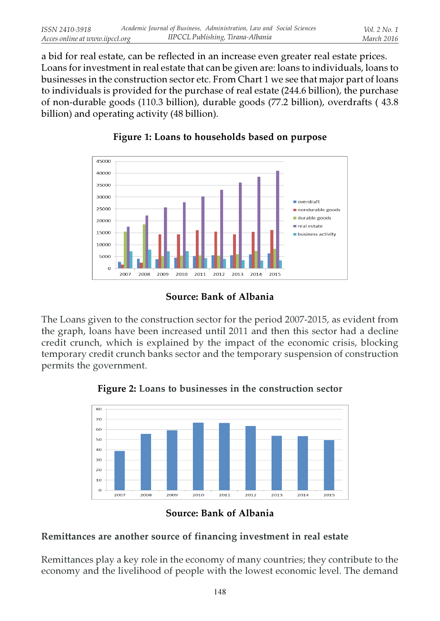a bid for real estate, can be reflected in an increase even greater real estate prices. Loans for investment in real estate that can be given are: loans to individuals, loans to businesses in the construction sector etc. From Chart 1 we see that major part of loans to individuals is provided for the purchase of real estate (244.6 billion), the purchase of non-durable goods (110.3 billion), durable goods (77.2 billion), overdrafts ( 43.8 billion) and operating activity (48 billion).



## Figure 1: Loans to households based on purpose

# Source: Bank of Albania

The Loans given to the construction sector for the period 2007-2015, as evident from the graph, loans have been increased until 2011 and then this sector had a decline credit crunch, which is explained by the impact of the economic crisis, blocking temporary credit crunch banks sector and the temporary suspension of construction permits the government.



Figure 2: Loans to businesses in the construction sector

## Remittances are another source of financing investment in real estate

Remittances play a key role in the economy of many countries; they contribute to the economy and the livelihood of people with the lowest economic level. The demand

Source: Bank of Albania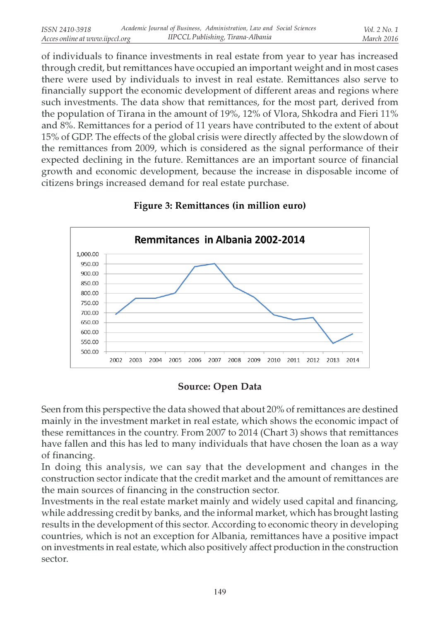of individuals to finance investments in real estate from year to year has increased through credit, but remittances have occupied an important weight and in most cases there were used by individuals to invest in real estate. Remittances also serve to financially support the economic development of different areas and regions where such investments. The data show that remittances, for the most part, derived from the population of Tirana in the amount of 19%, 12% of Vlora, Shkodra and Fieri 11% and 8%. Remittances for a period of 11 years have contributed to the extent of about 15% of GDP. The effects of the global crisis were directly affected by the slowdown of the remittances from 2009, which is considered as the signal performance of their expected declining in the future. Remittances are an important source of financial growth and economic development, because the increase in disposable income of citizens brings increased demand for real estate purchase.



#### Figure 3: Remittances (in million euro)

#### Source: Open Data

Seen from this perspective the data showed that about 20% of remittances are destined mainly in the investment market in real estate, which shows the economic impact of these remittances in the country. From 2007 to 2014 (Chart 3) shows that remittances have fallen and this has led to many individuals that have chosen the loan as a way of financing.

In doing this analysis, we can say that the development and changes in the construction sector indicate that the credit market and the amount of remittances are the main sources of financing in the construction sector.

Investments in the real estate market mainly and widely used capital and financing, while addressing credit by banks, and the informal market, which has brought lasting results in the development of this sector. According to economic theory in developing countries, which is not an exception for Albania, remittances have a positive impact on investments in real estate, which also positively affect production in the construction sector.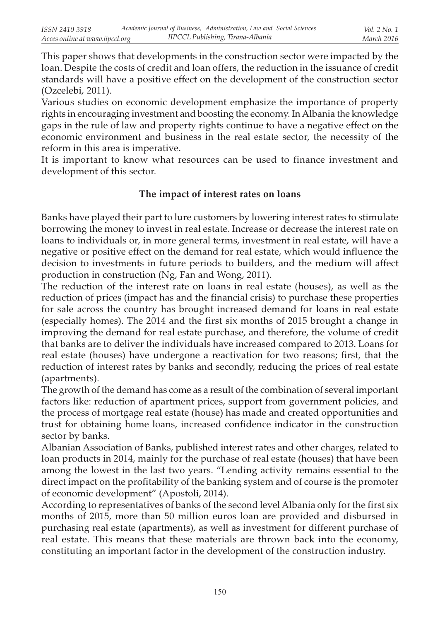This paper shows that developments in the construction sector were impacted by the loan. Despite the costs of credit and loan offers, the reduction in the issuance of credit standards will have a positive effect on the development of the construction sector (Ozcelebi, 2011).

Various studies on economic development emphasize the importance of property rights in encouraging investment and boosting the economy. In Albania the knowledge gaps in the rule of law and property rights continue to have a negative effect on the economic environment and business in the real estate sector, the necessity of the reform in this area is imperative.

It is important to know what resources can be used to finance investment and development of this sector.

### The impact of interest rates on loans

Banks have played their part to lure customers by lowering interest rates to stimulate borrowing the money to invest in real estate. Increase or decrease the interest rate on loans to individuals or, in more general terms, investment in real estate, will have a negative or positive effect on the demand for real estate, which would influence the decision to investments in future periods to builders, and the medium will affect production in construction (Ng, Fan and Wong, 2011).

The reduction of the interest rate on loans in real estate (houses), as well as the reduction of prices (impact has and the financial crisis) to purchase these properties for sale across the country has brought increased demand for loans in real estate (especially homes). The 2014 and the first six months of 2015 brought a change in improving the demand for real estate purchase, and therefore, the volume of credit that banks are to deliver the individuals have increased compared to 2013. Loans for real estate (houses) have undergone a reactivation for two reasons; first, that the reduction of interest rates by banks and secondly, reducing the prices of real estate (apartments).

The growth of the demand has come as a result of the combination of several important factors like: reduction of apartment prices, support from government policies, and the process of mortgage real estate (house) has made and created opportunities and trust for obtaining home loans, increased confidence indicator in the construction sector by banks.

Albanian Association of Banks, published interest rates and other charges, related to loan products in 2014, mainly for the purchase of real estate (houses) that have been among the lowest in the last two years. "Lending activity remains essential to the direct impact on the profitability of the banking system and of course is the promoter of economic development" (Apostoli, 2014).

According to representatives of banks of the second level Albania only for the first six months of 2015, more than 50 million euros loan are provided and disbursed in purchasing real estate (apartments), as well as investment for different purchase of real estate. This means that these materials are thrown back into the economy, constituting an important factor in the development of the construction industry.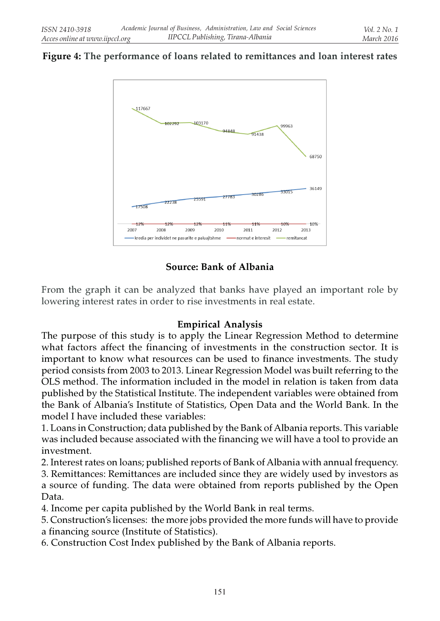### Figure 4: The performance of loans related to remittances and loan interest rates



### Source: Bank of Albania

From the graph it can be analyzed that banks have played an important role by lowering interest rates in order to rise investments in real estate.

#### Empirical Analysis

The purpose of this study is to apply the Linear Regression Method to determine what factors affect the financing of investments in the construction sector. It is important to know what resources can be used to finance investments. The study period consists from 2003 to 2013. Linear Regression Model was built referring to the OLS method. The information included in the model in relation is taken from data published by the Statistical Institute. The independent variables were obtained from the Bank of Albania's Institute of Statistics, Open Data and the World Bank. In the model I have included these variables:

1. Loans in Construction; data published by the Bank of Albania reports. This variable was included because associated with the financing we will have a tool to provide an investment.

2. Interest rates on loans; published reports of Bank of Albania with annual frequency.

3. Remittances: Remittances are included since they are widely used by investors as a source of funding. The data were obtained from reports published by the Open Data.

4. Income per capita published by the World Bank in real terms.

5. Construction's licenses: the more jobs provided the more funds will have to provide

a financing source (Institute of Statistics).

6. Construction Cost Index published by the Bank of Albania reports.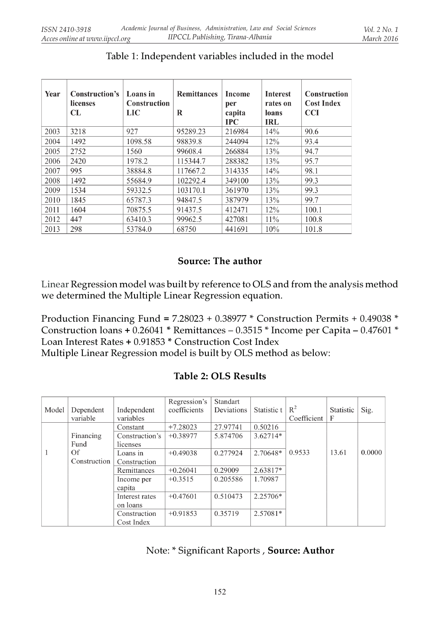| Year | Construction's<br>licenses<br><b>CL</b> | Loans in<br><b>Construction</b><br>LIC | <b>Remittances</b><br>R | Income<br>per<br>capita<br>$_{\rm IPC}$ | <b>Interest</b><br>rates on<br>loans<br>IRL | <b>Construction</b><br><b>Cost Index</b><br><b>CCI</b> |
|------|-----------------------------------------|----------------------------------------|-------------------------|-----------------------------------------|---------------------------------------------|--------------------------------------------------------|
| 2003 | 3218                                    | 927                                    | 95289.23                | 216984                                  | 14%                                         | 90.6                                                   |
| 2004 | 1492                                    | 1098.58                                | 98839.8                 | 244094                                  | 12%                                         | 93.4                                                   |
| 2005 | 2752                                    | 1560                                   | 99608.4                 | 266884                                  | 13%                                         | 94.7                                                   |
| 2006 | 2420                                    | 1978.2                                 | 115344.7                | 288382                                  | 13%                                         | 95.7                                                   |
| 2007 | 995                                     | 38884.8                                | 117667.2                | 314335                                  | 14%                                         | 98.1                                                   |
| 2008 | 1492                                    | 55684.9                                | 102292.4                | 349100                                  | 13%                                         | 99.3                                                   |
| 2009 | 1534                                    | 59332.5                                | 103170.1                | 361970                                  | 13%                                         | 99.3                                                   |
| 2010 | 1845                                    | 65787.3                                | 94847.5                 | 387979                                  | 13%                                         | 99.7                                                   |
| 2011 | 1604                                    | 70875.5                                | 91437.5                 | 412471                                  | 12%                                         | 100.1                                                  |
| 2012 | 447                                     | 63410.3                                | 99962.5                 | 427081                                  | 11%                                         | 100.8                                                  |
| 2013 | 298                                     | 53784.0                                | 68750                   | 441691                                  | 10%                                         | 101.8                                                  |

# Table 1: Independent variables included in the model

### Source: The author

Linear Regression model was built by reference to OLS and from the analysis method we determined the Multiple Linear Regression equation.

Production Financing Fund =  $7.28023 + 0.38977$  \* Construction Permits + 0.49038 \* Construction loans + 0.26041 \* Remittances – 0.3515 \* Income per Capita – 0.47601 \* Loan Interest Rates + 0.91853 \* Construction Cost Index Multiple Linear Regression model is built by OLS method as below:

| Model | Dependent<br>variable | Independent<br>variables | Regression's<br>coefficients | Standart<br>Deviations | Statistic t | $R^2$<br>Coefficient | Statistic<br>F | Sig.   |
|-------|-----------------------|--------------------------|------------------------------|------------------------|-------------|----------------------|----------------|--------|
|       |                       | Constant                 | $+7.28023$                   | 27.97741               | 0.50216     |                      |                |        |
|       | Financing             | Construction's           | $+0.38977$                   | 5.874706               | $3.62714*$  |                      |                |        |
|       | Fund                  | licenses                 |                              |                        |             |                      |                |        |
|       | Of                    | Loans in                 | $+0.49038$                   | 0.277924               | 2.70648*    | 0.9533               | 13.61          | 0.0000 |
|       | Construction          | Construction             |                              |                        |             |                      |                |        |
|       |                       | Remittances              | $+0.26041$                   | 0.29009                | 2.63817*    |                      |                |        |
|       |                       | Income per               | $+0.3515$                    | 0.205586               | 1.70987     |                      |                |        |
|       |                       | capita                   |                              |                        |             |                      |                |        |
|       |                       | Interest rates           | $+0.47601$                   | 0.510473               | $2.25706*$  |                      |                |        |
|       |                       | on loans                 |                              |                        |             |                      |                |        |
|       |                       | Construction             | $+0.91853$                   | 0.35719                | $2.57081*$  |                      |                |        |
|       |                       | Cost Index               |                              |                        |             |                      |                |        |

Table 2: OLS Results

Note: \* Significant Raports , Source: Author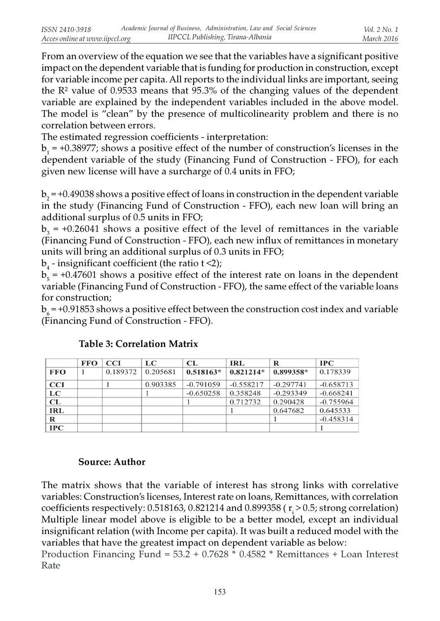From an overview of the equation we see that the variables have a significant positive impact on the dependent variable that is funding for production in construction, except for variable income per capita. All reports to the individual links are important, seeing the  $\mathbb{R}^2$  value of 0.9533 means that 95.3% of the changing values of the dependent variable are explained by the independent variables included in the above model. The model is "clean" by the presence of multicolinearity problem and there is no correlation between errors.

The estimated regression coefficients - interpretation:

 $b_1$  = +0.38977; shows a positive effect of the number of construction's licenses in the dependent variable of the study (Financing Fund of Construction - FFO), for each given new license will have a surcharge of 0.4 units in FFO;

 $b_2$  = +0.49038 shows a positive effect of loans in construction in the dependent variable in the study (Financing Fund of Construction - FFO), each new loan will bring an additional surplus of 0.5 units in FFO;

 $b_3$  = +0.26041 shows a positive effect of the level of remittances in the variable (Financing Fund of Construction - FFO), each new influx of remittances in monetary units will bring an additional surplus of 0.3 units in FFO;

 $b_4$  - insignificant coefficient (the ratio t <2);

 $b_5$  = +0.47601 shows a positive effect of the interest rate on loans in the dependent variable (Financing Fund of Construction - FFO), the same effect of the variable loans for construction;

 ${\rm b}_6$  = +0.91853 shows a positive effect between the construction cost index and variable (Financing Fund of Construction - FFO).

|            | <b>FFO</b> | <b>CCI</b> | LC.      | CL          | <b>IRL</b>  | R           | $_{\rm IPC}$ |
|------------|------------|------------|----------|-------------|-------------|-------------|--------------|
| <b>FFO</b> |            | 0.189372   | 0.205681 | $0.518163*$ | $0.821214*$ | 0.899358*   | 0.178339     |
| <b>CCI</b> |            |            | 0.903385 | $-0.791059$ | $-0.558217$ | $-0.297741$ | $-0.658713$  |
| LC         |            |            |          | $-0.650258$ | 0.358248    | $-0.293349$ | $-0.668241$  |
| CL         |            |            |          |             | 0.712732    | 0.290428    | $-0.755964$  |
| <b>IRL</b> |            |            |          |             |             | 0.647682    | 0.645533     |
| R          |            |            |          |             |             |             | $-0.458314$  |
| IPC        |            |            |          |             |             |             |              |

## Table 3: Correlation Matrix

### Source: Author

The matrix shows that the variable of interest has strong links with correlative variables: Construction's licenses, Interest rate on loans, Remittances, with correlation coefficients respectively:  $0.518163$ ,  $0.821214$  and  $0.899358$  (  $\rm r_i$  >  $0.5$ ; strong correlation) Multiple linear model above is eligible to be a better model, except an individual insignificant relation (with Income per capita). It was built a reduced model with the variables that have the greatest impact on dependent variable as below:

Production Financing Fund = 53.2 + 0.7628 \* 0.4582 \* Remittances + Loan Interest Rate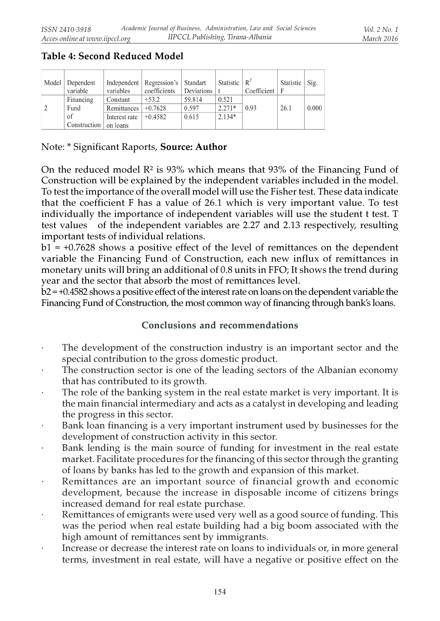|   | Model Dependent<br>variable | variables     | Independent   Regression's   Standart<br>coefficients | Deviations | Statistic $\mid R^2 \mid$ | Coefficient $ F $ | Statistic | Sig.  |
|---|-----------------------------|---------------|-------------------------------------------------------|------------|---------------------------|-------------------|-----------|-------|
|   | Financing                   | Constant      | $+53.2$                                               | 59.814     | 0.521                     |                   |           |       |
| 2 | Fund                        | Remittances   | $+0.7628$                                             | 0.597      | $2.271*$                  | 0.93              | 26.1      | 0.000 |
|   | of                          | Interest rate | $+0.4582$                                             | 0.615      | $2.134*$                  |                   |           |       |
|   | Construction                | on loans      |                                                       |            |                           |                   |           |       |

# Table 4: Second Reduced Model

Note: \* Significant Raports, Source: Author

On the reduced model  $\mathbb{R}^2$  is 93% which means that 93% of the Financing Fund of Construction will be explained by the independent variables included in the model. To test the importance of the overall model will use the Fisher test. These data indicate that the coefficient F has a value of 26.1 which is very important value. To test individually the importance of independent variables will use the student t test. T test values of the independent variables are 2.27 and 2.13 respectively, resulting important tests of individual relations.

 $b1 = +0.7628$  shows a positive effect of the level of remittances on the dependent variable the Financing Fund of Construction, each new influx of remittances in monetary units will bring an additional of 0.8 units in FFO; It shows the trend during year and the sector that absorb the most of remittances level.

b2 = +0.4582 shows a positive effect of the interest rate on loans on the dependent variable the Financing Fund of Construction, the most common way of financing through bank's loans.

### Conclusions and recommendations

- The development of the construction industry is an important sector and the special contribution to the gross domestic product.
- The construction sector is one of the leading sectors of the Albanian economy that has contributed to its growth.
- The role of the banking system in the real estate market is very important. It is the main financial intermediary and acts as a catalyst in developing and leading the progress in this sector.
- Bank loan financing is a very important instrument used by businesses for the development of construction activity in this sector.
- Bank lending is the main source of funding for investment in the real estate market. Facilitate procedures for the financing of this sector through the granting of loans by banks has led to the growth and expansion of this market.
- Remittances are an important source of financial growth and economic development, because the increase in disposable income of citizens brings increased demand for real estate purchase.
- Remittances of emigrants were used very well as a good source of funding. This was the period when real estate building had a big boom associated with the high amount of remittances sent by immigrants.
- Increase or decrease the interest rate on loans to individuals or, in more general terms, investment in real estate, will have a negative or positive effect on the